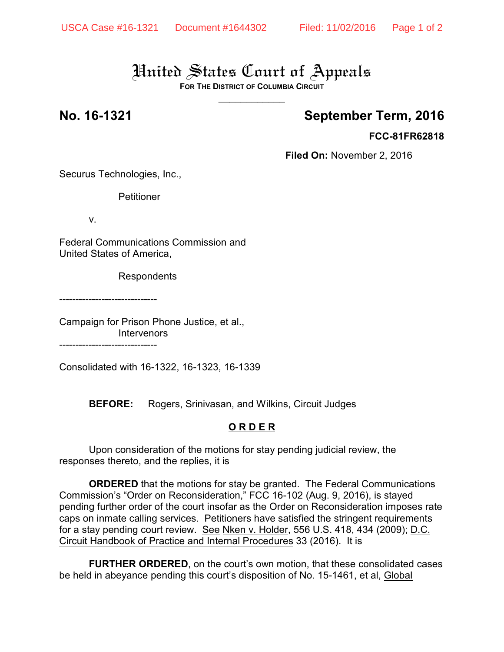# United States Court of Appeals

**FOR THE DISTRICT OF COLUMBIA CIRCUIT**  $\overline{\phantom{a}}$ 

## **No. 16-1321 September Term, 2016**

### **FCC-81FR62818**

**Filed On:** November 2, 2016

Securus Technologies, Inc.,

Petitioner

v.

Federal Communications Commission and United States of America,

Respondents

------------------------------

Campaign for Prison Phone Justice, et al., **Intervenors** ------------------------------

Consolidated with 16-1322, 16-1323, 16-1339

**BEFORE:** Rogers, Srinivasan, and Wilkins, Circuit Judges

### **O R D E R**

Upon consideration of the motions for stay pending judicial review, the responses thereto, and the replies, it is

**ORDERED** that the motions for stay be granted. The Federal Communications Commission's "Order on Reconsideration," FCC 16-102 (Aug. 9, 2016), is stayed pending further order of the court insofar as the Order on Reconsideration imposes rate caps on inmate calling services. Petitioners have satisfied the stringent requirements for a stay pending court review. See Nken v. Holder, 556 U.S. 418, 434 (2009); D.C. Circuit Handbook of Practice and Internal Procedures 33 (2016). It is

**FURTHER ORDERED**, on the court's own motion, that these consolidated cases be held in abeyance pending this court's disposition of No. 15-1461, et al, Global